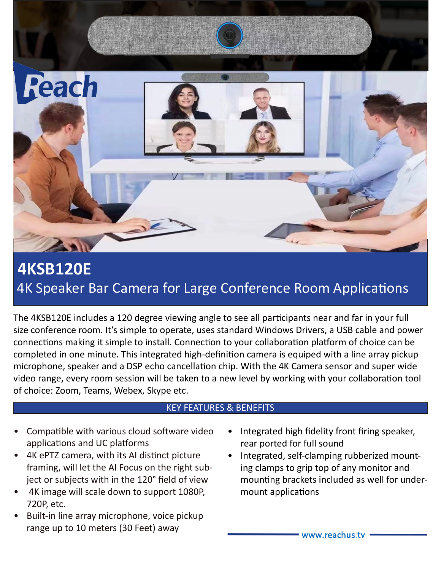

## **4KSB120E** 4K Speaker Bar Camera for Large Conference Room Applications

The 4KSB120E includes a 120 degree viewing angle to see all participants near and far in your full size conference room. It's simple to operate, uses standard Windows Drivers, a USB cable and power connections making it simple to install. Connection to your collaboration platform of choice can be completed in one minute. This integrated high-definition camera is equiped with a line array pickup microphone, speaker and a DSP echo cancellation chip. With the 4K Camera sensor and super wide video range, every room session will be taken to a new level by working with your collaboration tool of choice: Zoom, Teams, Webex, Skype etc.

## KEY FEATURES & BENEFITS

- Compatible with various cloud software video applications and UC platforms
- 4K ePTZ camera, with its AI distinct picture framing, will let the AI Focus on the right subject or subjects with in the 120° field of view
- 4K image will scale down to support 1080P, 720P, etc.
- Built-in line array microphone, voice pickup range up to 10 meters (30 Feet) away
- Integrated high fidelity front firing speaker, rear ported for full sound
- Integrated, self-clamping rubberized mounting clamps to grip top of any monitor and mounting brackets included as well for undermount applications